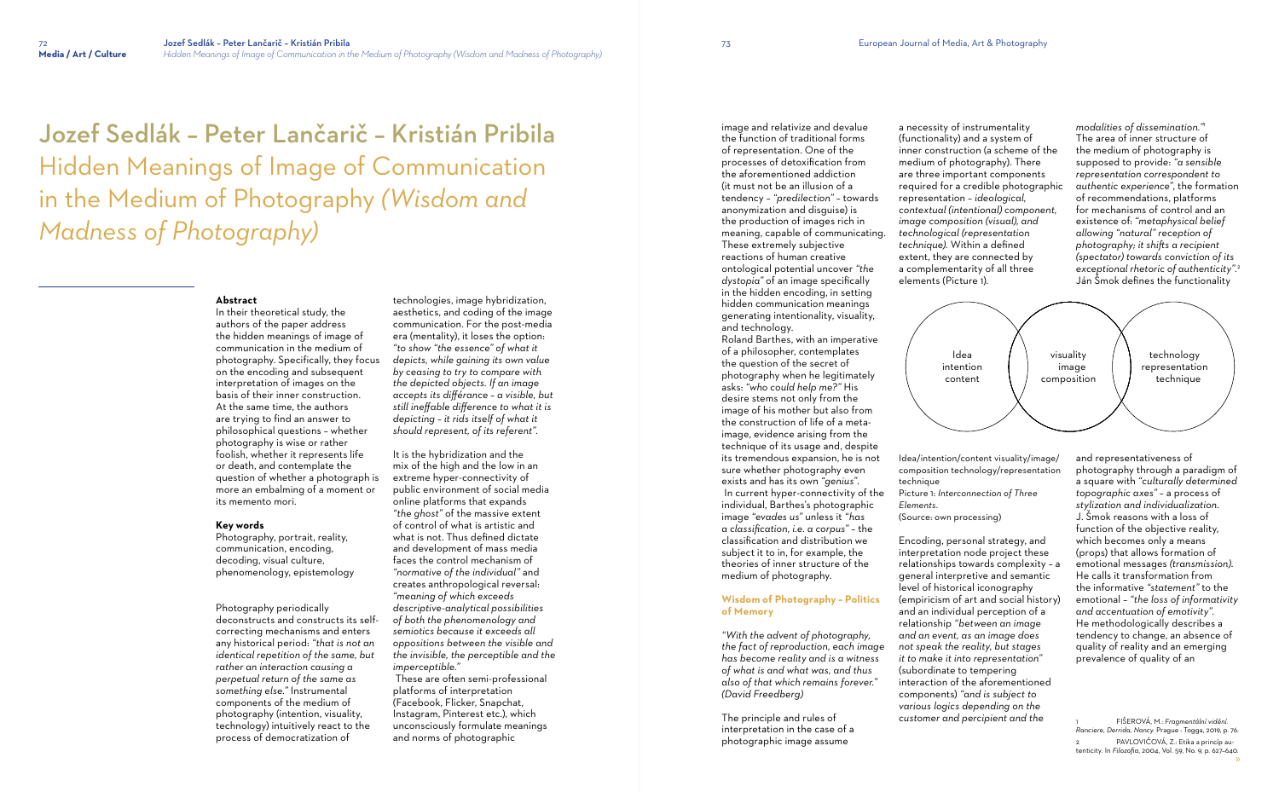Jozef Sedlák – Peter Lančarič – Kristián Pribila Hidden Meanings of Image of Communication in the Medium of Photography *(Wisdom and Madness of Photography)*

### **Abstract**

In their theoretical study, the authors of the paper address the hidden meanings of image of communication in the medium of photography. Specifically, they focus on the encoding and subsequent interpretation of images on the basis of their inner construction. At the same time, the authors are trying to find an answer to philosophical questions – whether photography is wise or rather foolish, whether it represents life or death, and contemplate the question of whether a photograph is more an embalming of a moment or its memento mori.

#### **Key words**

Photography, portrait, reality, communication, encoding, decoding, visual culture, phenomenology, epistemology

Photography periodically deconstructs and constructs its selfcorrecting mechanisms and enters any historical period: *"that is not an identical repetition of the same, but rather an interaction causing a perpetual return of the same as something else."* Instrumental components of the medium of photography (intention, visuality, technology) intuitively react to the process of democratization of

technologies, image hybridization, aesthetics, and coding of the image communication. For the post-media era (mentality), it loses the option: *"to show "the essence" of what it depicts, while gaining its own value by ceasing to try to compare with the depicted objects. If an image accepts its différance – a visible, but still ineffable difference to what it is depicting – it rids itself of what it should represent, of its referent".*

It is the hybridization and the mix of the high and the low in an extreme hyper-connectivity of public environment of social media online platforms that expands *"the ghost"* of the massive extent of control of what is artistic and what is not. Thus defined dictate and development of mass media faces the control mechanism of *"normative of the individual"* and creates anthropological reversal: *"meaning of which exceeds descriptive-analytical possibilities of both the phenomenology and semiotics because it exceeds all oppositions between the visible and the invisible, the perceptible and the imperceptible."*

technique Picture 1: *Interconnection of Three Elements*. (Source: own processing)

 These are often semi-professional platforms of interpretation (Facebook, Flicker, Snapchat, Instagram, Pinterest etc.), which unconsciously formulate meanings and norms of photographic

image and relativize and devalue the function of traditional forms of representation. One of the processes of detoxification from the aforementioned addiction (it must not be an illusion of a tendency – *"predilection"* – towards anonymization and disguise) is the production of images rich in meaning, capable of communicating. These extremely subjective reactions of human creative ontological potential uncover *"the dystopia"* of an image specifically in the hidden encoding, in setting hidden communication meanings generating intentionality, visuality, and technology.

> » tenticity*.* In *Filozofia*, 2004, Vol. 59, No. 9, p. 627–640. 1 FIŠEROVÁ, M.: *Fragmentální vidění*. *Ranciere, Derrida, Nancy.* Prague : Togga, 2019, p. 76. 2 PAVLOVIČOVÁ, Z.: Etika a princíp au-

Roland Barthes, with an imperative of a philosopher, contemplates the question of the secret of photography when he legitimately asks: *"who could help me?"* His desire stems not only from the image of his mother but also from the construction of life of a metaimage, evidence arising from the technique of its usage and, despite its tremendous expansion, he is not sure whether photography even exists and has its own *"genius"*. In current hyper-connectivity of the individual, Barthes's photographic image *"evades us"* unless it *"has a classification, i.e. a corpus"* – the classification and distribution we subject it to in, for example, the theories of inner structure of the medium of photography.

## **Wisdom of Photography – Politics of Memory**

*"With the advent of photography, the fact of reproduction, each image has become reality and is a witness of what is and what was, and thus also of that which remains forever." (David Freedberg)*

The principle and rules of interpretation in the case of a photographic image assume

a necessity of instrumentality (functionality) and a system of inner construction (a scheme of the medium of photography). There are three important components required for a credible photographic *contextual (intentional) component, image composition (visual), and technological (representation technique).* Within a defined extent, they are connected by a complementarity of all three

representation – *ideological,*  elements (Picture 1)*.*

Idea/intention/content visuality/image/ composition technology/representation

Encoding, personal strategy, and interpretation node project these relationships towards complexity – a general interpretive and semantic level of historical iconography (empiricism of art and social history) and an individual perception of a relationship *"between an image and an event, as an image does not speak the reality, but stages it to make it into representation"* (subordinate to tempering interaction of the aforementioned components) *"and is subject to various logics depending on the customer and percipient and the* 

*modalities of dissemination."* 1 The area of inner structure of the medium of photography is supposed to provide: *"a sensible representation correspondent to authentic experience"*, the formation of recommendations, platforms for mechanisms of control and an existence of: *"metaphysical belief allowing "natural" reception of photography; it shifts a recipient (spectator) towards conviction of its exceptional rhetoric of authenticity".* 2 Ján Šmok defines the functionality

and representativeness of photography through a paradigm of a square with *"culturally determined topographic axes"* – a process of *stylization and individualization*. J. Šmok reasons with a loss of function of the objective reality, which becomes only a means (props) that allows formation of emotional messages *(transmission)*. He calls it transformation from the informative *"statement"* to the emotional – *"the loss of informativity and accentuation of emotivity".* He methodologically describes a tendency to change, an absence of quality of reality and an emerging prevalence of quality of an

Idea intention content

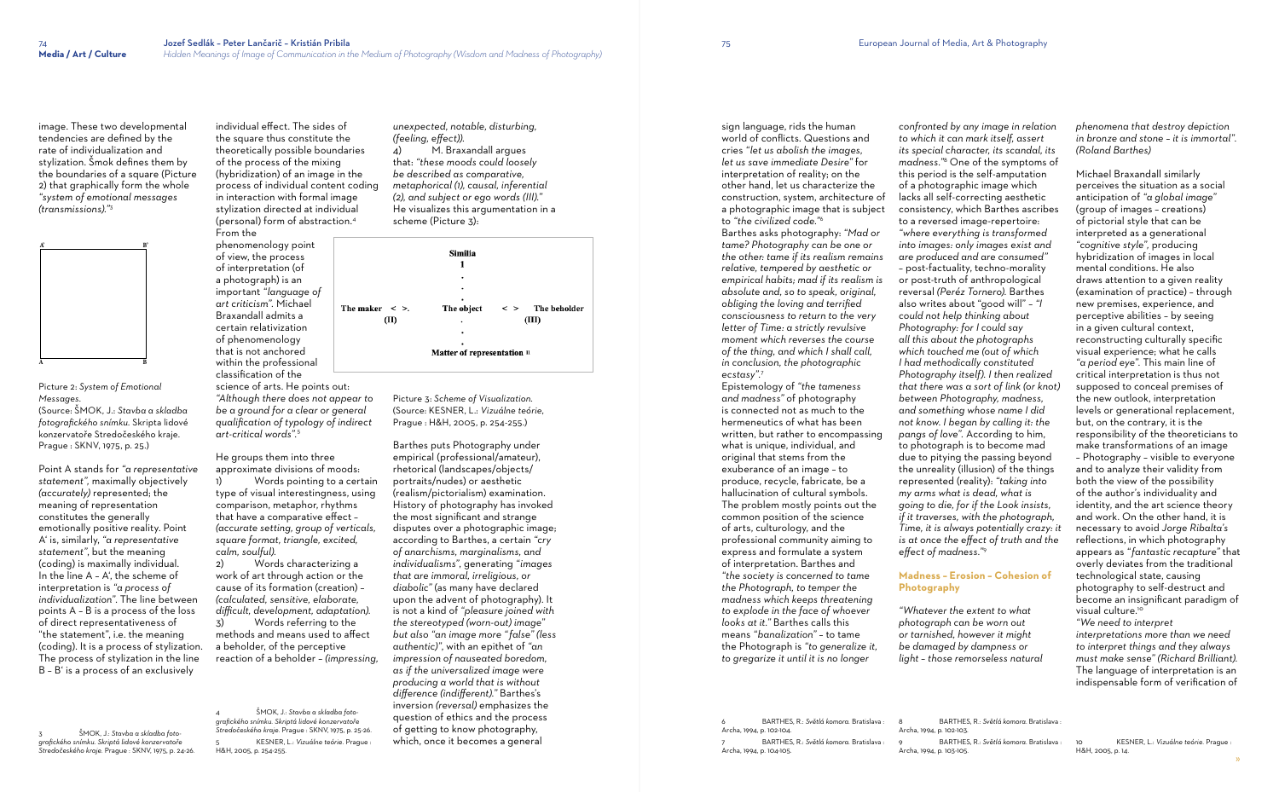image. These two developmental tendencies are defined by the rate of individualization and stylization. Šmok defines them by the boundaries of a square (Picture 2) that graphically form the whole *"system of emotional messages (transmissions)."*<sup>3</sup>

### Picture 2: *System of Emotional Messages.*

(Source: ŠMOK, J.: *Stavba a skladba fotografického snímku.* Skripta lidové konzervatoře Stredočeského kraje. Prague : SKNV, 1975, p. 25.)

Point A stands for *"a representative statement",* maximally objectively *(accurately)* represented; the meaning of representation constitutes the generally emotionally positive reality. Point A' is, similarly, *"a representative statement"*, but the meaning (coding) is maximally individual. In the line A – A', the scheme of interpretation is *"a process of individualization"*. The line between points A – B is a process of the loss of direct representativeness of "the statement", i.e. the meaning (coding). It is a process of stylization. The process of stylization in the line B – B' is a process of an exclusively

Words pointing to a certain type of visual interestingness, using comparison, metaphor, rhythms that have a comparative effect – *(accurate setting, group of verticals, square format, triangle, excited, calm, soulful).*

3 ŠMOK, J.: *Stavba a skladba fotografického snímku. Skriptá lidové konzervatoře Stredočeského kraje.* Prague : SKNV, 1975, p. 24-26. individual effect. The sides of the square thus constitute the theoretically possible boundaries of the process of the mixing (hybridization) of an image in the process of individual content coding in interaction with formal image stylization directed at individual (personal) form of abstraction.<sup>4</sup> From the phenomenology point of view, the process of interpretation (of a photograph) is an important *"language of art criticism".* Michael Braxandall admits a certain relativization of phenomenology that is not anchored within the professional classification of the

science of arts. He points out: *"Although there does not appear to be a ground for a clear or general qualification of typology of indirect art-critical words".*<sup>5</sup>

He groups them into three approximate divisions of moods:

2) Words characterizing a work of art through action or the cause of its formation (creation) – *(calculated, sensitive, elaborate, difficult, development, adaptation).*

3) Words referring to the methods and means used to affect a beholder, of the perceptive reaction of a beholder – *(impressing,* 

4 ŠMOK, J.: *Stavba a skladba fotografického snímku. Skriptá lidové konzervatoře Stredočeského kraje.* Prague : SKNV, 1975, p. 25-26. 5 KESNER, L.: *Vizuálne teórie*. Prague : H&H, 2005, p. 254-255.

*unexpected, notable, disturbing, (feeling, effect)).* M. Braxandall argues that: *"these moods could loosely be described as comparative, metaphorical (1), causal, inferential (2), and subject or ego words (III)."*  He visualizes this argumentation in a

|                                        | Similia<br>1 |       |                                  |
|----------------------------------------|--------------|-------|----------------------------------|
|                                        | ٠            |       |                                  |
|                                        | ٠            |       |                                  |
|                                        | ٠            |       |                                  |
| The maker $\leq$ >.                    |              |       | The object $\leq$ > The beholder |
| (II)                                   | ٠            | (III) |                                  |
|                                        | ٠            |       |                                  |
|                                        | ٠            |       |                                  |
| Matter of representation <sup>11</sup> |              |       |                                  |
|                                        |              |       |                                  |

scheme (Picture 3):

Picture 3: *Scheme of Visualization.*  (Source: KESNER, L.: *Vizuálne teórie*, Prague : H&H, 2005, p. 254-255.)

Barthes puts Photography under empirical (professional/amateur), rhetorical (landscapes/objects/ portraits/nudes) or aesthetic (realism/pictorialism) examination. History of photography has invoked the most significant and strange disputes over a photographic image; according to Barthes, a certain *"cry of anarchisms, marginalisms, and individualisms"*, generating *"images that are immoral, irreligious, or diabolic"* (as many have declared upon the advent of photography). It is not a kind of *"pleasure joined with the stereotyped (worn-out) image" but also "an image more " false" (less authentic)"*, with an epithet of *"an impression of nauseated boredom, as if the universalized image were producing a world that is without difference (indifferent)."* Barthes's inversion *(reversal)* emphasizes the question of ethics and the process of getting to know photography, which, once it becomes a general

sign language, rids the human world of conflicts. Questions and cries *"let us abolish the images, let us save immediate Desire"* for interpretation of reality; on the other hand, let us characterize the construction, system, architecture of a photographic image that is subject to *"the civilized code."*<sup>6</sup>

Barthes asks photography: *"Mad or tame? Photography can be one or the other: tame if its realism remains relative, tempered by aesthetic or empirical habits; mad if its realism is absolute and, so to speak, original, obliging the loving and terrified consciousness to return to the very letter of Time: a strictly revulsive moment which reverses the course of the thing, and which I shall call, in conclusion, the photographic ecstasy".*<sup>7</sup>

Epistemology of *"the tameness and madness"* of photography is connected not as much to the hermeneutics of what has been written, but rather to encompassing what is unique, individual, and original that stems from the exuberance of an image – to produce, recycle, fabricate, be a hallucination of cultural symbols. The problem mostly points out the common position of the science of arts, culturology, and the professional community aiming to express and formulate a system of interpretation. Barthes and *"the society is concerned to tame the Photograph, to temper the madness which keeps threatening to explode in the face of whoever looks at it."* Barthes calls this means *"banalization"* – to tame the Photograph is *"to generalize it, to gregarize it until it is no longer* 

6 BARTHES, R.: *Světlá komora.* Bratislava : Archa, 1994, p. 102-104. 7 BARTHES, R.: *Světlá komora.* Bratislava : Archa, 1994, p. 104-105.

*confronted by any image in relation to which it can mark itself, assert its special character, its scandal, its madness."*<sup>8</sup> One of the symptoms of this period is the self-amputation of a photographic image which lacks all self-correcting aesthetic consistency, which Barthes ascribes to a reversed image-repertoire: *"where everything is transformed into images: only images exist and are produced and are consumed"* – post-factuality, techno-morality or post-truth of anthropological reversal *(Peréz Tornero).* Barthes also writes about "good will" – *"I could not help thinking about Photography: for I could say all this about the photographs which touched me (out of which I had methodically constituted Photography itself). I then realized that there was a sort of link (or knot) between Photography, madness, and something whose name I did not know. I began by calling it: the pangs of love".* According to him, to photograph is to become mad due to pitying the passing beyond the unreality (illusion) of the things represented (reality): *"taking into my arms what is dead, what is going to die, for if the Look insists, if it traverses, with the photograph, Time, it is always potentially crazy: it is at once the effect of truth and the effect of madness."*<sup>9</sup>

## **Madness – Erosion – Cohesion of Photography**

*"Whatever the extent to what photograph can be worn out or tarnished, however it might be damaged by dampness or light – those remorseless natural* 

8 BARTHES, R.: *Světlá komora*. Bratislava : Archa, 1994, p. 102-103. 9 BARTHES, R.: *Světlá komora.* Bratislava : Archa, 1994, p. 103-105.

*phenomena that destroy depiction in bronze and stone – it is immortal". (Roland Barthes)*

Michael Braxandall similarly perceives the situation as a social anticipation of *"a global image"* (group of images – creations) of pictorial style that can be interpreted as a generational *"cognitive style",* producing hybridization of images in local mental conditions. He also draws attention to a given reality (examination of practice) – through new premises, experience, and perceptive abilities – by seeing in a given cultural context, reconstructing culturally specific visual experience; what he calls *"a period eye".* This main line of critical interpretation is thus not supposed to conceal premises of the new outlook, interpretation levels or generational replacement, but, on the contrary, it is the responsibility of the theoreticians to make transformations of an image – Photography – visible to everyone and to analyze their validity from both the view of the possibility of the author's individuality and identity, and the art science theory and work. On the other hand, it is necessary to avoid *Jorge Ribalta's*  reflections, in which photography appears as *" fantastic recapture"* that overly deviates from the traditional technological state, causing photography to self-destruct and become an insignificant paradigm of visual culture. 10

*"We need to interpret interpretations more than we need to interpret things and they always must make sense" (Richard Brilliant).* The language of interpretation is an indispensable form of verification of

10 KESNER, L.: *Vizuálne teórie.* Prague : H&H, 2005, p. 14.

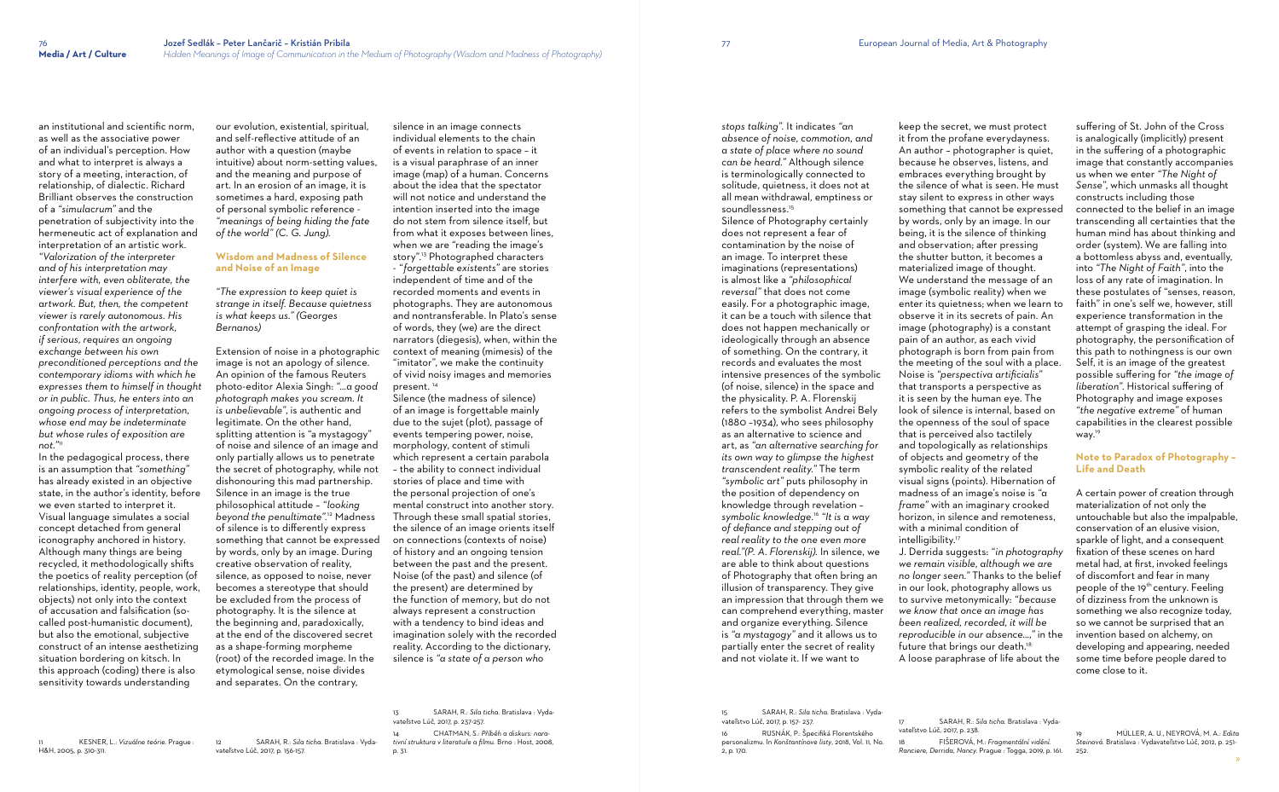an institutional and scientific norm, as well as the associative power of an individual's perception. How and what to interpret is always a story of a meeting, interaction, of relationship, of dialectic. Richard Brilliant observes the construction of a *"simulacrum"* and the penetration of subjectivity into the hermeneutic act of explanation and interpretation of an artistic work. *"Valorization of the interpreter and of his interpretation may interfere with, even obliterate, the viewer's visual experience of the artwork. But, then, the competent viewer is rarely autonomous. His confrontation with the artwork, if serious, requires an ongoing exchange between his own preconditioned perceptions and the contemporary idioms with which he expresses them to himself in thought or in public. Thus, he enters into an ongoing process of interpretation, whose end may be indeterminate but whose rules of exposition are not."*<sup>11</sup>

In the pedagogical process, there is an assumption that *"something"* has already existed in an objective state, in the author's identity, before we even started to interpret it. Visual language simulates a social concept detached from general iconography anchored in history. Although many things are being recycled, it methodologically shifts the poetics of reality perception (of relationships, identity, people, work, objects) not only into the context of accusation and falsification (socalled post-humanistic document), but also the emotional, subjective construct of an intense aesthetizing situation bordering on kitsch. In this approach (coding) there is also sensitivity towards understanding

11 KESNER, L.: *Vizuálne teórie.* Prague : H&H, 2005, p. 310-311.

our evolution, existential, spiritual, and self-reflective attitude of an author with a question (maybe intuitive) about norm-setting values, and the meaning and purpose of art. In an erosion of an image, it is sometimes a hard, exposing path of personal symbolic reference - *"meanings of being hiding the fate of the world" (C. G. Jung).*

## **Wisdom and Madness of Silence and Noise of an Image**

*"The expression to keep quiet is strange in itself. Because quietness is what keeps us." (Georges Bernanos)*

Extension of noise in a photographic image is not an apology of silence. An opinion of the famous Reuters photo-editor Alexia Singh: *"…a good photograph makes you scream. It is unbelievable"*, is authentic and legitimate. On the other hand, splitting attention is "a mystagogy" of noise and silence of an image and only partially allows us to penetrate the secret of photography, while not dishonouring this mad partnership. Silence in an image is the true philosophical attitude – *"looking beyond the penultimate".*<sup>12</sup> Madness of silence is to differently express something that cannot be expressed by words, only by an image. During creative observation of reality, silence, as opposed to noise, never becomes a stereotype that should be excluded from the process of photography. It is the silence at the beginning and, paradoxically, at the end of the discovered secret as a shape-forming morpheme (root) of the recorded image. In the etymological sense, noise divides and separates. On the contrary,

12 SARAH, R.: *Sila ticha*. Bratislava : Vydavateľstvo Lúč, 2017, p. 156-157.

silence in an image connects individual elements to the chain of events in relation to space – it is a visual paraphrase of an inner image (map) of a human. Concerns about the idea that the spectator will not notice and understand the intention inserted into the image do not stem from silence itself, but from what it exposes between lines, when we are "reading the image's story".13 Photographed characters - *" forgettable existents"* are stories independent of time and of the recorded moments and events in photographs. They are autonomous and nontransferable. In Plato's sense of words, they (we) are the direct narrators (diegesis), when, within the context of meaning (mimesis) of the "imitator", we make the continuity of vivid noisy images and memories present. <sup>14</sup>

with a minimal condition of intelligibility.<sup>17</sup>

Silence (the madness of silence) of an image is forgettable mainly due to the sujet (plot), passage of events tempering power, noise, morphology, content of stimuli which represent a certain parabola – the ability to connect individual stories of place and time with the personal projection of one's mental construct into another story. Through these small spatial stories, the silence of an image orients itself on connections (contexts of noise) of history and an ongoing tension between the past and the present. Noise (of the past) and silence (of the present) are determined by the function of memory, but do not always represent a construction with a tendency to bind ideas and imagination solely with the recorded reality. According to the dictionary, silence is *"a state of a person who* 

> 19 MÜLLER, A. U., NEYROVÁ, M. A.: *Edita Steinová*. Bratislava : Vydavateľstvo Lúč, 2012, p. 251- 252

13 SARAH, R.: *Sila ticha*. Bratislava : Vydavateľstvo Lúč, 2017, p. 237-257. 14 CHATMAN, S.: *Příběh a diskurs: narativní struktura v literatuře a filmu.* Brno : Host, 2008,

p. 31.

*stops talking".* It indicates *"an absence of noise, commotion, and a state of place where no sound can be heard."* Although silence is terminologically connected to solitude, quietness, it does not at all mean withdrawal, emptiness or soundlessness.<sup>15</sup> Silence of Photography certainly

does not represent a fear of contamination by the noise of an image. To interpret these imaginations (representations) is almost like a *"philosophical reversal"* that does not come easily. For a photographic image, it can be a touch with silence that does not happen mechanically or ideologically through an absence of something. On the contrary, it records and evaluates the most intensive presences of the symbolic (of noise, silence) in the space and the physicality. P. A. Florenskij refers to the symbolist Andrei Bely (1880 –1934), who sees philosophy as an alternative to science and art, as *"an alternative searching for its own way to glimpse the highest transcendent reality."* The term *"symbolic art"* puts philosophy in the position of dependency on knowledge through revelation – *symbolic knowledge.*<sup>16</sup> *"It is a way of defiance and stepping out of real reality to the one even more real."(P. A. Florenskij).* In silence, we are able to think about questions of Photography that often bring an illusion of transparency. They give an impression that through them we can comprehend everything, master and organize everything. Silence is *"a mystagogy"* and it allows us to partially enter the secret of reality and not violate it. If we want to

15 SARAH, R.: *Sila ticha*. Bratislava : Vydavateľstvo Lúč, 2017, p. 157- 237. 16 RUSNÁK, P.: Špecifiká Florentského personalizmu. In *Konštantínove listy*, 2018, Vol. 11, No. 2, p. 170.

keep the secret, we must protect it from the profane everydayness. An author – photographer is quiet, because he observes, listens, and embraces everything brought by the silence of what is seen. He must stay silent to express in other ways something that cannot be expressed by words, only by an image. In our being, it is the silence of thinking and observation; after pressing the shutter button, it becomes a materialized image of thought. We understand the message of an image (symbolic reality) when we enter its quietness; when we learn to observe it in its secrets of pain. An image (photography) is a constant pain of an author, as each vivid photograph is born from pain from the meeting of the soul with a place. Noise is *"perspectiva artificialis"* that transports a perspective as it is seen by the human eye. The look of silence is internal, based on the openness of the soul of space that is perceived also tactilely and topologically as relationships of objects and geometry of the symbolic reality of the related visual signs (points). Hibernation of madness of an image's noise is *"a frame"* with an imaginary crooked horizon, in silence and remoteness,

J. Derrida suggests: *"in photography we remain visible, although we are no longer seen."* Thanks to the belief in our look, photography allows us to survive metonymically: *"because we know that once an image has been realized, recorded, it will be reproducible in our absence…,"* in the future that brings our death.<sup>18</sup> A loose paraphrase of life about the

vateľstvo Lúč, 2017, p. 238.

18 FIŠEROVÁ, M.: *Fragmentální vidění. Ranciere, Derrida, Nancy.* Prague : Togga, 2019, p. 161. suffering of St. John of the Cross is analogically (implicitly) present in the suffering of a photographic image that constantly accompanies us when we enter *"The Night of Sense"*, which unmasks all thought constructs including those connected to the belief in an image transcending all certainties that the human mind has about thinking and order (system). We are falling into a bottomless abyss and, eventually, into *"The Night of Faith"*, into the loss of any rate of imagination. In these postulates of "senses, reason, faith" in one's self we, however, still experience transformation in the attempt of grasping the ideal. For photography, the personification of this path to nothingness is our own Self, it is an image of the greatest possible suffering for *"the image of liberation"*. Historical suffering of Photography and image exposes *"the negative extreme"* of human capabilities in the clearest possible way. 19

## **Note to Paradox of Photography – Life and Death**

A certain power of creation through materialization of not only the untouchable but also the impalpable, conservation of an elusive vision, sparkle of light, and a consequent fixation of these scenes on hard metal had, at first, invoked feelings of discomfort and fear in many people of the 19<sup>th</sup> century. Feeling of dizziness from the unknown is something we also recognize today, so we cannot be surprised that an invention based on alchemy, on developing and appearing, needed some time before people dared to come close to it.

<sup>17</sup> SARAH, R.: *Sila ticha*. Bratislava : Vyda-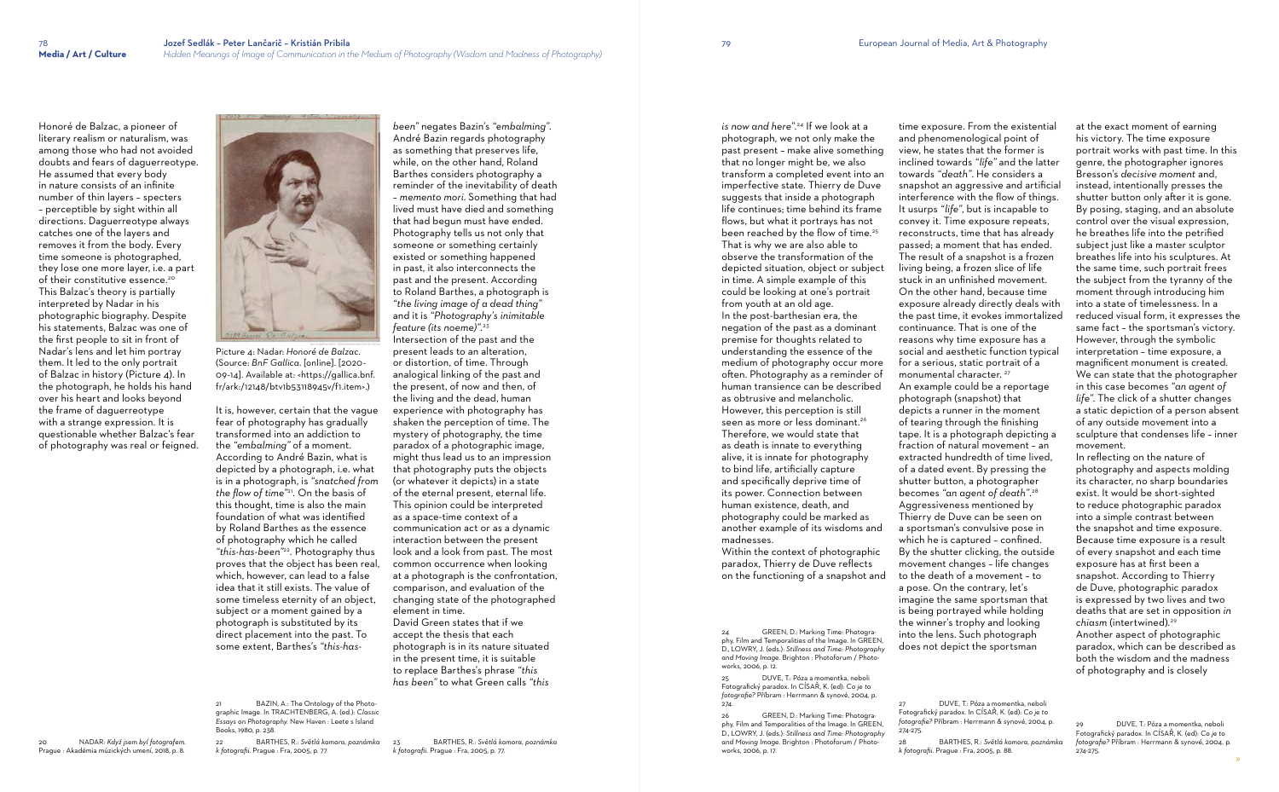Honoré de Balzac, a pioneer of literary realism or naturalism, was among those who had not avoided doubts and fears of daguerreotype. He assumed that every body in nature consists of an infinite number of thin layers – specters – perceptible by sight within all directions. Daguerreotype always catches one of the layers and removes it from the body. Every time someone is photographed, they lose one more layer, i.e. a part of their constitutive essence.<sup>20</sup> This Balzac's theory is partially interpreted by Nadar in his photographic biography. Despite his statements, Balzac was one of the first people to sit in front of Nadar's lens and let him portray them. It led to the only portrait of Balzac in history (Picture 4). In the photograph, he holds his hand over his heart and looks beyond the frame of daguerreotype with a strange expression. It is questionable whether Balzac's fear of photography was real or feigned.

> BAZIN, A.: The Ontology of the Photographic Image. In TRACHTENBERG, A. (ed.): *Classic Essays on Photography.* New Haven : Leetes Island Books, 1980, p. 238.

20 NADAR: *Když jsem byl fotografem.* 

Prague : Akadémia múzických umení, 2018, p. 8.



Picture 4: Nadar: *Honoré de Balzac*. (Source: *BnF Gallica*. [online]. [2020- 09-14]. Available at: <https://gallica.bnf. fr/ark:/12148/btv1b53118945v/f1.item>.)

It is, however, certain that the vague fear of photography has gradually transformed into an addiction to the *"embalming"* of a moment. According to André Bazin, what is depicted by a photograph, i.e. what is in a photograph, is *"snatched from the flow of time"*<sup>21</sup> *.* On the basis of this thought, time is also the main foundation of what was identified by Roland Barthes as the essence of photography which he called *"this-has-been"*<sup>22</sup> *.* Photography thus proves that the object has been real, which, however, can lead to a false idea that it still exists. The value of some timeless eternity of an object, subject or a moment gained by a photograph is substituted by its direct placement into the past. To some extent, Barthes's *"this-has-*

22 BARTHES, R.: *Světlá komora, poznámka k fotografii*. Prague : Fra, 2005, p. 77.

25 DUVE, T.: Póza a momentka, neboli Fotografický paradox. In CÍSAŘ, K. (ed): *Co je to fotografie?* Příbram : Herrmann & synové, 2004, p.  $274.$ 

*been"* negates Bazin's *"embalming"*. André Bazin regards photography as something that preserves life, while, on the other hand, Roland Barthes considers photography a reminder of the inevitability of death – *memento mori*. Something that had lived must have died and something that had begun must have ended. Photography tells us not only that someone or something certainly existed or something happened in past, it also interconnects the past and the present. According to Roland Barthes, a photograph is *"the living image of a dead thing"* and it is *"Photography's inimitable feature (its noeme)"*. 23 Intersection of the past and the present leads to an alteration, or distortion, of time. Through analogical linking of the past and the present, of now and then, of the living and the dead, human experience with photography has shaken the perception of time. The mystery of photography, the time paradox of a photographic image, might thus lead us to an impression that photography puts the objects (or whatever it depicts) in a state of the eternal present, eternal life. This opinion could be interpreted as a space-time context of a communication act or as a dynamic interaction between the present look and a look from past. The most common occurrence when looking at a photograph is the confrontation, comparison, and evaluation of the changing state of the photographed element in time. David Green states that if we

accept the thesis that each photograph is in its nature situated in the present time, it is suitable to replace Barthes's phrase *"this has been"* to what Green calls *"this* 

23 BARTHES, R.: *Světlá komora, poznámka k fotografii*. Prague : Fra, 2005, p. 77.

*is now and here".*<sup>24</sup> If we look at a photograph, we not only make the past present – make alive something that no longer might be, we also transform a completed event into an imperfective state. Thierry de Duve suggests that inside a photograph life continues; time behind its frame flows, but what it portrays has not been reached by the flow of time.<sup>25</sup> That is why we are also able to observe the transformation of the depicted situation, object or subject in time. A simple example of this could be looking at one's portrait from youth at an old age. In the post-barthesian era, the negation of the past as a dominant premise for thoughts related to understanding the essence of the medium of photography occur more often. Photography as a reminder of human transience can be described as obtrusive and melancholic. However, this perception is still seen as more or less dominant.<sup>26</sup> Therefore, we would state that as death is innate to everything alive, it is innate for photography to bind life, artificially capture and specifically deprive time of its power. Connection between human existence, death, and photography could be marked as another example of its wisdoms and madnesses.

Within the context of photographic paradox, Thierry de Duve reflects on the functioning of a snapshot and

24 GREEN, D.: Marking Time: Photography, Film and Temporalities of the Image. In GREEN, D., LOWRY, J. (eds.): *Stillness and Time: Photography and Moving Image*. Brighton : Photoforum / Photoworks, 2006, p. 12.

26 GREEN, D.: Marking Time: Photography, Film and Temporalities of the Image. In GREEN, D., LOWRY, J. (eds.): *Stillness and Time: Photography and Moving Image*. Brighton : Photoforum / Photoworks, 2006, p. 17.

time exposure. From the existential and phenomenological point of view, he states that the former is inclined towards *"life"* and the latter towards *"death"*. He considers a snapshot an aggressive and artificial interference with the flow of things. It usurps *"life"*, but is incapable to convey it. Time exposure repeats, reconstructs, time that has already passed; a moment that has ended. The result of a snapshot is a frozen living being, a frozen slice of life stuck in an unfinished movement. On the other hand, because time exposure already directly deals with the past time, it evokes immortalized continuance. That is one of the reasons why time exposure has a social and aesthetic function typical for a serious, static portrait of a monumental character.<sup>27</sup> An example could be a reportage photograph (snapshot) that depicts a runner in the moment of tearing through the finishing tape. It is a photograph depicting a fraction of natural movement – an extracted hundredth of time lived, of a dated event. By pressing the shutter button, a photographer becomes *"an agent of death"*. 28 Aggressiveness mentioned by Thierry de Duve can be seen on a sportsman's convulsive pose in which he is captured – confined. By the shutter clicking, the outside movement changes – life changes to the death of a movement – to a pose. On the contrary, let's imagine the same sportsman that is being portrayed while holding the winner's trophy and looking into the lens. Such photograph does not depict the sportsman

27 DUVE, T.: Póza a momentka, neboli Fotografický paradox. In CÍSAŘ, K. (ed): *Co je to fotografie?* Příbram : Herrmann & synové, 2004, p. 274-275.

*k fotografii*. Prague : Fra, 2005, p. 88.

at the exact moment of earning his victory. The time exposure portrait works with past time. In this genre, the photographer ignores Bresson's *decisive moment* and, instead, intentionally presses the shutter button only after it is gone. By posing, staging, and an absolute control over the visual expression, he breathes life into the petrified subject just like a master sculptor breathes life into his sculptures. At the same time, such portrait frees the subject from the tyranny of the moment through introducing him into a state of timelessness. In a reduced visual form, it expresses the same fact – the sportsman's victory. However, through the symbolic interpretation – time exposure, a magnificent monument is created. We can state that the photographer in this case becomes *"an agent of life"*. The click of a shutter changes a static depiction of a person absent of any outside movement into a sculpture that condenses life – inner movement.

In reflecting on the nature of photography and aspects molding its character, no sharp boundaries exist. It would be short-sighted to reduce photographic paradox into a simple contrast between the snapshot and time exposure. Because time exposure is a result of every snapshot and each time exposure has at first been a snapshot. According to Thierry de Duve, photographic paradox is expressed by two lives and two deaths that are set in opposition *in chiasm* (intertwined). 29 Another aspect of photographic paradox, which can be described as both the wisdom and the madness of photography and is closely

<sup>28</sup> BARTHES, R.: *Světlá komora, poznámka* 

<sup>29</sup> DUVE, T.: Póza a momentka, neboli Fotografický paradox. In CÍSAŘ, K. (ed): *Co je to fotografie?* Příbram : Herrmann & synové, 2004, p. 274-275.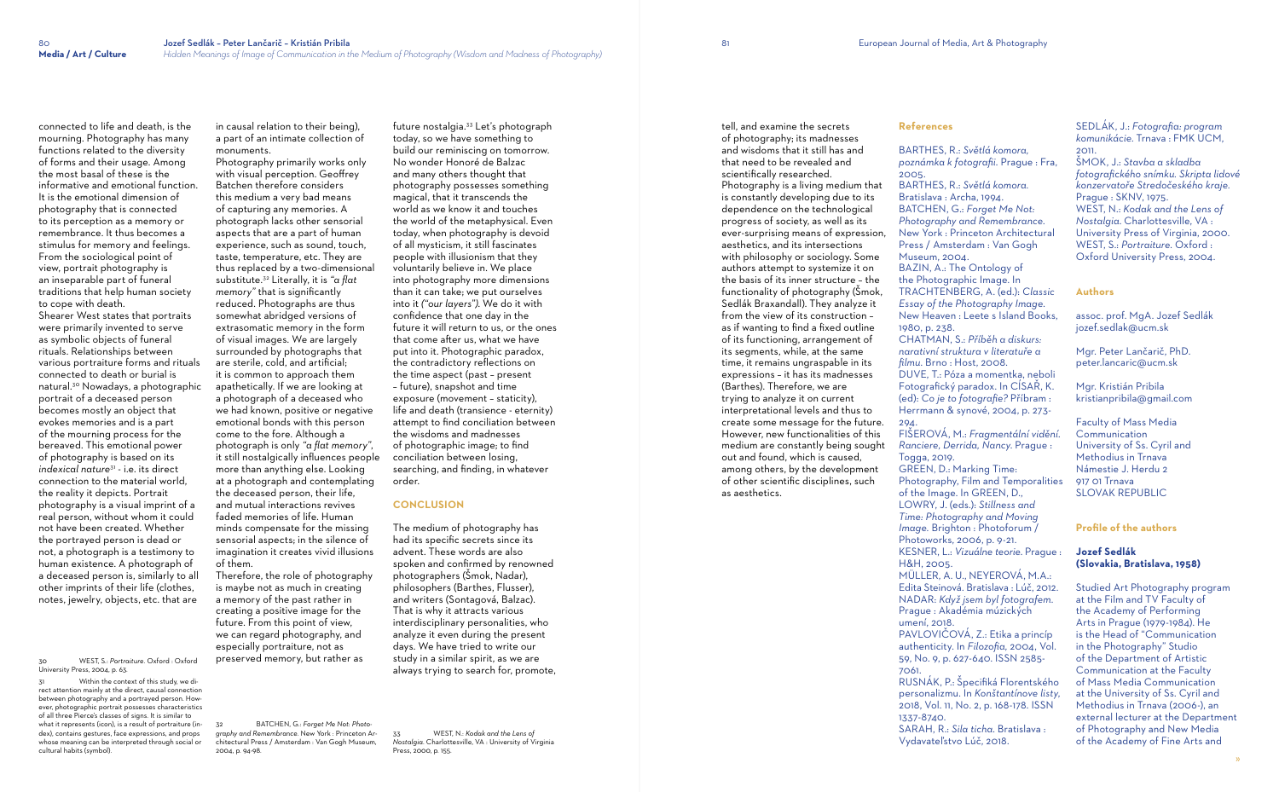connected to life and death, is the mourning. Photography has many functions related to the diversity of forms and their usage. Among the most basal of these is the informative and emotional function. It is the emotional dimension of photography that is connected to its perception as a memory or remembrance. It thus becomes a stimulus for memory and feelings. From the sociological point of view, portrait photography is an inseparable part of funeral traditions that help human society to cope with death.

Shearer West states that portraits were primarily invented to serve as symbolic objects of funeral rituals. Relationships between various portraiture forms and rituals connected to death or burial is natural.30 Nowadays, a photographic portrait of a deceased person becomes mostly an object that evokes memories and is a part of the mourning process for the bereaved. This emotional power of photography is based on its *indexical nature*<sup>31</sup> - i.e. its direct connection to the material world, the reality it depicts. Portrait photography is a visual imprint of a real person, without whom it could not have been created. Whether the portrayed person is dead or not, a photograph is a testimony to human existence. A photograph of a deceased person is, similarly to all other imprints of their life (clothes, notes, jewelry, objects, etc. that are

30 WEST, S.: *Portraiture*. Oxford : Oxford University Press, 2004, p. 63.

31 Within the context of this study, we direct attention mainly at the direct, causal connection between photography and a portrayed person. However, photographic portrait possesses characteristics of all three Pierce's classes of signs. It is similar to what it represents (icon), is a result of portraiture (index), contains gestures, face expressions, and props whose meaning can be interpreted through social or cultural habits (symbol).

in causal relation to their being), a part of an intimate collection of monuments.

Photography primarily works only with visual perception. Geoffrey Batchen therefore considers this medium a very bad means of capturing any memories. A photograph lacks other sensorial aspects that are a part of human experience, such as sound, touch, taste, temperature, etc. They are thus replaced by a two-dimensional substitute.32 Literally, it is *"a flat memory"* that is significantly reduced. Photographs are thus somewhat abridged versions of extrasomatic memory in the form of visual images. We are largely surrounded by photographs that are sterile, cold, and artificial; it is common to approach them apathetically. If we are looking at a photograph of a deceased who we had known, positive or negative emotional bonds with this person come to the fore. Although a photograph is only *"a flat memory"*, it still nostalgically influences people more than anything else. Looking at a photograph and contemplating the deceased person, their life, and mutual interactions revives faded memories of life. Human minds compensate for the missing sensorial aspects; in the silence of imagination it creates vivid illusions of them.

Therefore, the role of photography is maybe not as much in creating a memory of the past rather in creating a positive image for the future. From this point of view, we can regard photography, and especially portraiture, not as preserved memory, but rather as

32 BATCHEN, G.: *Forget Me Not: Photography and Remembrance*. New York : Princeton Architectural Press / Amsterdam : Van Gogh Museum, 2004, p. 94-98.

future nostalgia.33 Let's photograph today, so we have something to build our reminiscing on tomorrow. No wonder Honoré de Balzac and many others thought that photography possesses something magical, that it transcends the world as we know it and touches the world of the metaphysical. Even today, when photography is devoid of all mysticism, it still fascinates people with illusionism that they voluntarily believe in. We place into photography more dimensions than it can take; we put ourselves into it *("our layers")*. We do it with confidence that one day in the future it will return to us, or the ones that come after us, what we have put into it. Photographic paradox, the contradictory reflections on the time aspect (past – present – future), snapshot and time exposure (movement – staticity), life and death (transience - eternity) attempt to find conciliation between the wisdoms and madnesses of photographic image; to find conciliation between losing, searching, and finding, in whatever order.

## **CONCLUSION**

The medium of photography has had its specific secrets since its advent. These words are also spoken and confirmed by renowned photographers (Šmok, Nadar), philosophers (Barthes, Flusser), and writers (Sontagová, Balzac). That is why it attracts various interdisciplinary personalities, who analyze it even during the present days. We have tried to write our study in a similar spirit, as we are always trying to search for, promote,

33 WEST, N.: *Kodak and the Lens of Nostalgia*. Charlottesville, VA : University of Virginia Press, 2000, p. 155.

tell, and examine the secrets of photography; its madnesses and wisdoms that it still has and that need to be revealed and scientifically researched.

Photography is a living medium that is constantly developing due to its dependence on the technological progress of society, as well as its ever-surprising means of expression, aesthetics, and its intersections with philosophy or sociology. Some authors attempt to systemize it on the basis of its inner structure – the functionality of photography (Šmok, Sedlák Braxandall). They analyze it from the view of its construction – as if wanting to find a fixed outline of its functioning, arrangement of its segments, while, at the same time, it remains ungraspable in its expressions – it has its madnesses (Barthes). Therefore, we are trying to analyze it on current interpretational levels and thus to create some message for the future. However, new functionalities of this medium are constantly being sought out and found, which is caused, among others, by the development of other scientific disciplines, such as aesthetics.

# **References**

BARTHES, R.: *Světlá komora, poznámka k fotografii*. Prague : Fra, 2005. BARTHES, R.: *Světlá komora.*  Bratislava : Archa, 1994. BATCHEN, G.: *Forget Me Not: Photography and Remembrance*. New York : Princeton Architectural Press / Amsterdam : Van Gogh Museum, 2004. BAZIN, A.: The Ontology of the Photographic Image. In TRACHTENBERG, A. (ed.): *Classic Essay of the Photography Image*. New Heaven : Leete s Island Books, 1980, p. 238. CHATMAN, S.: *Příběh a diskurs: narativní struktura v literatuře a filmu*. Brno : Host, 2008. DUVE, T.: Póza a momentka, neboli Fotografický paradox. In CÍSAŘ, K. (ed): *Co je to fotografie?* Příbram : Herrmann & synové, 2004, p. 273- 294.

FIŠEROVÁ, M.: *Fragmentální vidění*. *Ranciere, Derrida, Nancy*. Prague : Togga, 2019. GREEN, D.: Marking Time: Photography, Film and Temporalities of the Image. In GREEN, D., LOWRY, J. (eds.): *Stillness and Time: Photography and Moving Image.* Brighton : Photoforum / Photoworks, 2006, p. 9-21. KESNER, L.: *Vizuálne teorie*. Prague : H&H, 2005. MÜLLER, A. U., NEYEROVÁ, M.A.: Edita Steinová. Bratislava : Lúč, 2012. NADAR: *Když jsem byl fotografem*. Prague : Akadémia múzických umení, 2018. PAVLOVIČOVÁ, Z.: Etika a princíp authenticity. In *Filozofia,* 2004, Vol. 59, No. 9, p. 627-640. ISSN 2585- 7061. RUSNÁK, P.: Špecifiká Florentského personalizmu. In *Konštantínove listy*, 2018, Vol. 11, No. 2, p. 168-178. ISSN 1337-8740. SARAH, R.: *Sila ticha*. Bratislava : Vydavateľstvo Lúč, 2018.

SEDLÁK, J.: *Fotografia: program komunikácie*. Trnava : FMK UCM, 2011.

ŠMOK, J.: *Stavba a skladba fotografického snímku. Skripta lidové konzervatoře Stredočeského kraje.* Prague : SKNV, 1975.

WEST, N.: *Kodak and the Lens of Nostalgia*. Charlottesville, VA : University Press of Virginia, 2000. WEST, S.: *Portraiture*. Oxford : Oxford University Press, 2004.

### **Authors**

assoc. prof. MgA. Jozef Sedlák jozef.sedlak@ucm.sk

Mgr. Peter Lančarič, PhD. peter.lancaric@ucm.sk

Mgr. Kristián Pribila kristianpribila@gmail.com

Faculty of Mass Media Communication University of Ss. Cyril and Methodius in Trnava Námestie J. Herdu 2 917 01 Trnava SLOVAK REPUBLIC

## **Profile of the authors**

## **Jozef Sedlák (Slovakia, Bratislava, 1958)**

Studied Art Photography program at the Film and TV Faculty of the Academy of Performing Arts in Prague (1979-1984). He is the Head of "Communication in the Photography" Studio of the Department of Artistic Communication at the Faculty of Mass Media Communication at the University of Ss. Cyril and Methodius in Trnava (2006-), an external lecturer at the Department of Photography and New Media of the Academy of Fine Arts and